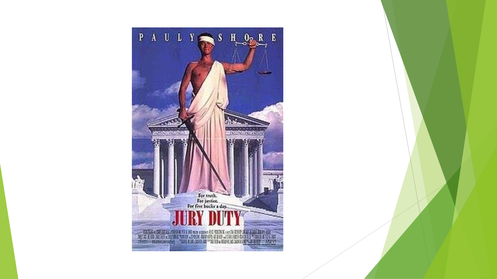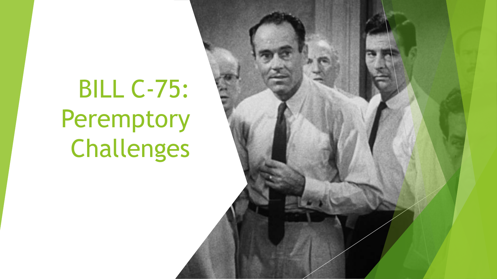# BILL C-75: Peremptory Challenges

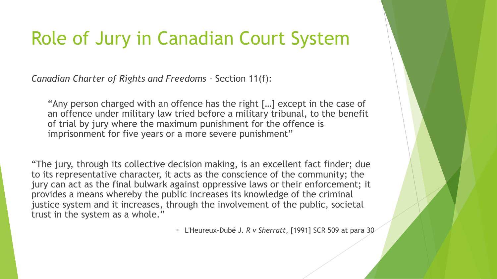#### Role of Jury in Canadian Court System

*Canadian Charter of Rights and Freedoms -* Section 11(f):

"Any person charged with an offence has the right […] except in the case of an offence under military law tried before a military tribunal, to the benefit of trial by jury where the maximum punishment for the offence is imprisonment for five years or a more severe punishment"

"The jury, through its collective decision making, is an excellent fact finder; due to its representative character, it acts as the conscience of the community; the jury can act as the final bulwark against oppressive laws or their enforcement; it provides a means whereby the public increases its knowledge of the criminal justice system and it increases, through the involvement of the public, societal trust in the system as a whole."

- L'Heureux-Dubé J. *R v Sherratt*, [1991] SCR 509 at para 30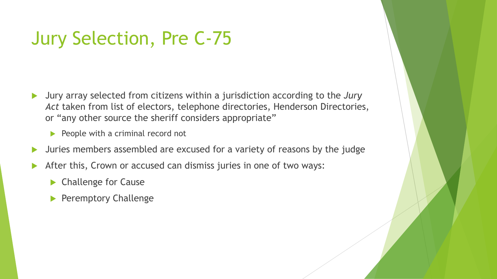# Jury Selection, Pre C-75

- Jury array selected from citizens within a jurisdiction according to the *Jury*  Act taken from list of electors, telephone directories, Henderson Directories, or "any other source the sheriff considers appropriate"
	- $\blacktriangleright$  People with a criminal record not
- Juries members assembled are excused for a variety of reasons by the judge
- After this, Crown or accused can dismiss juries in one of two ways:
	- **Challenge for Cause**
	- **Peremptory Challenge**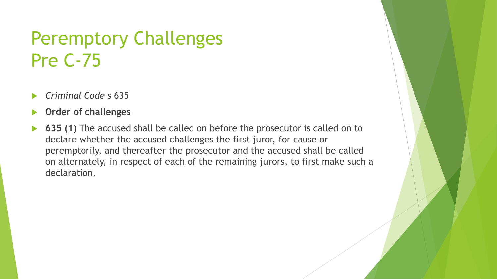## Peremptory Challenges Pre C-75

- *Criminal Code* s 635
- **Order of challenges**
- **635 (1)** The accused shall be called on before the prosecutor is called on to declare whether the accused challenges the first juror, for cause or peremptorily, and thereafter the prosecutor and the accused shall be called on alternately, in respect of each of the remaining jurors, to first make such a declaration.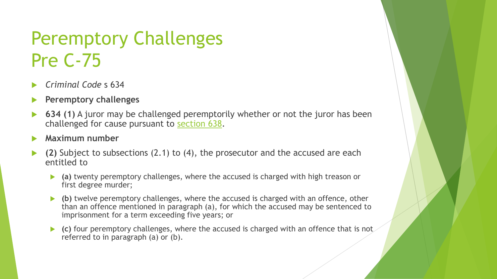# Peremptory Challenges Pre C-75

- *Criminal Code* s 634
- **Peremptory challenges**
- **634 (1)** A juror may be challenged peremptorily whether or not the juror has been challenged for cause pursuant to [section 638.](https://www.canlii.org/en/ca/laws/stat/rsc-1985-c-c-46/latest/rsc-1985-c-c-46.html?autocompleteStr=criminal &autocompletePos=1#sec638_smooth)
- **Maximum number**
- **(2)** Subject to subsections (2.1) to (4), the prosecutor and the accused are each entitled to
	- **(a)** twenty peremptory challenges, where the accused is charged with high treason or first degree murder;
	- **(b)** twelve peremptory challenges, where the accused is charged with an offence, other than an offence mentioned in paragraph (a), for which the accused may be sentenced to imprisonment for a term exceeding five years; or
	- **(c)** four peremptory challenges, where the accused is charged with an offence that is not referred to in paragraph (a) or (b).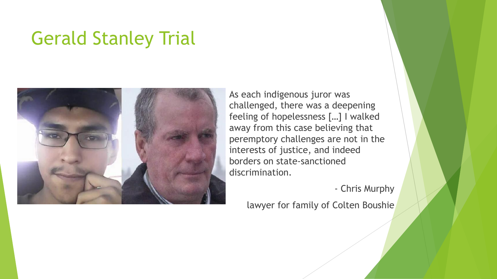#### Gerald Stanley Trial



As each indigenous juror was challenged, there was a deepening feeling of hopelessness […] I walked away from this case believing that peremptory challenges are not in the interests of justice, and indeed borders on state-sanctioned discrimination.

- Chris Murphy

lawyer for family of Colten Boushie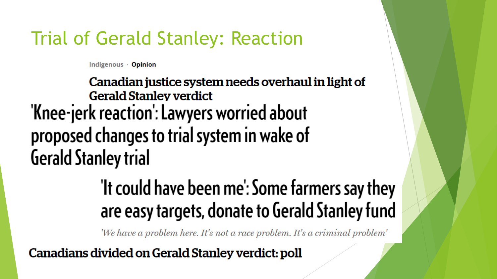### Trial of Gerald Stanley: Reaction

Indigenous - Opinion

Canadian justice system needs overhaul in light of **Gerald Stanley verdict** 'Knee-jerk reaction': Lawyers worried about proposed changes to trial system in wake of **Gerald Stanley trial** 

# 'It could have been me': Some farmers say they are easy targets, donate to Gerald Stanley fund

'We have a problem here. It's not a race problem. It's a criminal problem'

Canadians divided on Gerald Stanley verdict: poll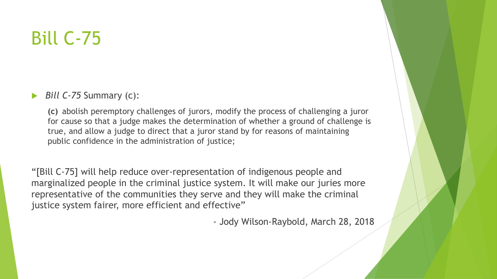## Bill C-75

#### *Bill C-75* Summary (c):

**(c)** abolish peremptory challenges of jurors, modify the process of challenging a juror for cause so that a judge makes the determination of whether a ground of challenge is true, and allow a judge to direct that a juror stand by for reasons of maintaining public confidence in the administration of justice;

"[Bill C-75] will help reduce over-representation of indigenous people and marginalized people in the criminal justice system. It will make our juries more representative of the communities they serve and they will make the criminal justice system fairer, more efficient and effective"

- Jody Wilson-Raybold, March 28, 2018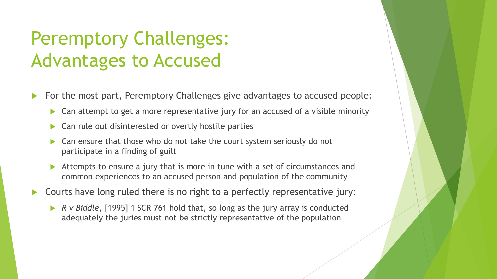# Peremptory Challenges: Advantages to Accused

- For the most part, Peremptory Challenges give advantages to accused people:
	- ▶ Can attempt to get a more representative jury for an accused of a visible minority
	- Can rule out disinterested or overtly hostile parties
	- Can ensure that those who do not take the court system seriously do not participate in a finding of guilt
	- Attempts to ensure a jury that is more in tune with a set of circumstances and common experiences to an accused person and population of the community
- Courts have long ruled there is no right to a perfectly representative jury:
	- *R v Biddle*, [1995] 1 SCR 761 hold that, so long as the jury array is conducted adequately the juries must not be strictly representative of the population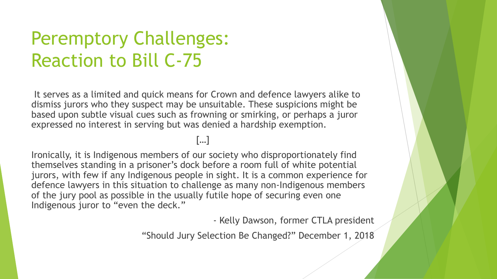# Peremptory Challenges: Reaction to Bill C-75

It serves as a limited and quick means for Crown and defence lawyers alike to dismiss jurors who they suspect may be unsuitable. These suspicions might be based upon subtle visual cues such as frowning or smirking, or perhaps a juror expressed no interest in serving but was denied a hardship exemption.

[…]

Ironically, it is Indigenous members of our society who disproportionately find themselves standing in a prisoner's dock before a room full of white potential jurors, with few if any Indigenous people in sight. It is a common experience for defence lawyers in this situation to challenge as many non-Indigenous members of the jury pool as possible in the usually futile hope of securing even one Indigenous juror to "even the deck."

- Kelly Dawson, former CTLA president

"Should Jury Selection Be Changed?" December 1, 2018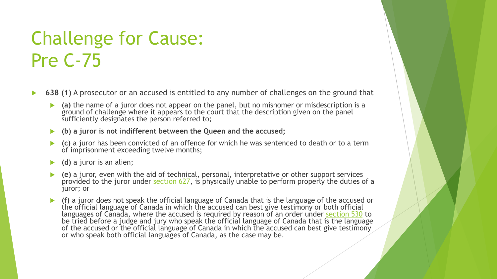# Challenge for Cause: Pre C-75

- **638 (1)** A prosecutor or an accused is entitled to any number of challenges on the ground that
	- **(a)** the name of a juror does not appear on the panel, but no misnomer or misdescription is a ground of challenge where it appears to the court that the description given on the panel sufficiently designates the person referred to;
	- **(b) a juror is not indifferent between the Queen and the accused;**
	- **(c)** a juror has been convicted of an offence for which he was sentenced to death or to a term of imprisonment exceeding twelve months;
	- **(d)** a juror is an alien;
	- **(e)** a juror, even with the aid of technical, personal, interpretative or other support services provided to the juror under [section 627](https://www.canlii.org/en/ca/laws/stat/rsc-1985-c-c-46/latest/rsc-1985-c-c-46.html?autocompleteStr=criminal &autocompletePos=1#sec627_smooth), is physically unable to perform properly the duties of a juror; or
	- **(f)** a juror does not speak the official language of Canada that is the language of the accused or the official language of Canada in which the accused can best give testimony or both official languages of Canada, where the accused is required by reason of an order under [section 530](https://www.canlii.org/en/ca/laws/stat/rsc-1985-c-c-46/latest/rsc-1985-c-c-46.html?autocompleteStr=criminal &autocompletePos=1#sec530_smooth) to be tried before a judge and jury who speak the official language of Canada that is the language of the accused or the official language of Canada in which the accused can best give testimony or who speak both official languages of Canada, as the case may be.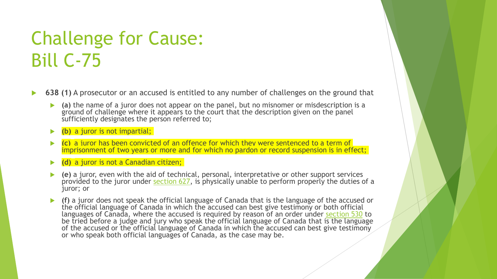# Challenge for Cause: Bill C-75

- **638 (1)** A prosecutor or an accused is entitled to any number of challenges on the ground that
	- **(a)** the name of a juror does not appear on the panel, but no misnomer or misdescription is a ground of challenge where it appears to the court that the description given on the panel sufficiently designates the person referred to;
	- **(b)** a juror is not impartial;
	- **(c)** a juror has been convicted of an offence for which they were sentenced to a term of imprisonment of two years or more and for which no pardon or record suspension is in effect;
	- **(d)** a juror is not a Canadian citizen;
	- **(e)** a juror, even with the aid of technical, personal, interpretative or other support services provided to the juror under [section 627](https://www.canlii.org/en/ca/laws/stat/rsc-1985-c-c-46/latest/rsc-1985-c-c-46.html?autocompleteStr=criminal &autocompletePos=1#sec627_smooth), is physically unable to perform properly the duties of a juror; or
	- **(f)** a juror does not speak the official language of Canada that is the language of the accused or the official language of Canada in which the accused can best give testimony or both official languages of Canada, where the accused is required by reason of an order under [section 530](https://www.canlii.org/en/ca/laws/stat/rsc-1985-c-c-46/latest/rsc-1985-c-c-46.html?autocompleteStr=criminal &autocompletePos=1#sec530_smooth) to be tried before a judge and jury who speak the official language of Canada that is the language of the accused or the official language of Canada in which the accused can best give testimony or who speak both official languages of Canada, as the case may be.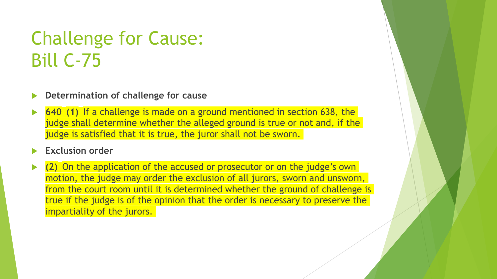# Challenge for Cause: Bill C-75

#### **Determination of challenge for cause**

 **640 (1)** If a challenge is made on a ground mentioned in section 638, the judge shall determine whether the alleged ground is true or not and, if the judge is satisfied that it is true, the juror shall not be sworn.

#### **Exclusion order**

 **(2)** On the application of the accused or prosecutor or on the judge's own motion, the judge may order the exclusion of all jurors, sworn and unsworn, from the court room until it is determined whether the ground of challenge is true if the judge is of the opinion that the order is necessary to preserve the impartiality of the jurors.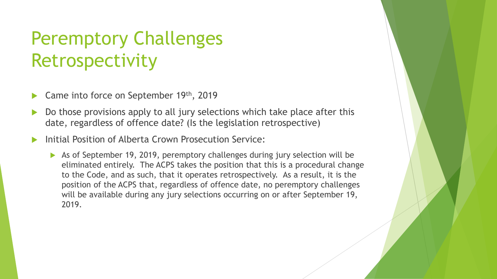# Peremptory Challenges Retrospectivity

- Came into force on September 19th, 2019
- Do those provisions apply to all jury selections which take place after this date, regardless of offence date? (Is the legislation retrospective)
- Initial Position of Alberta Crown Prosecution Service:
	- As of September 19, 2019, peremptory challenges during jury selection will be eliminated entirely. The ACPS takes the position that this is a procedural change to the Code, and as such, that it operates retrospectively. As a result, it is the position of the ACPS that, regardless of offence date, no peremptory challenges will be available during any jury selections occurring on or after September 19, 2019.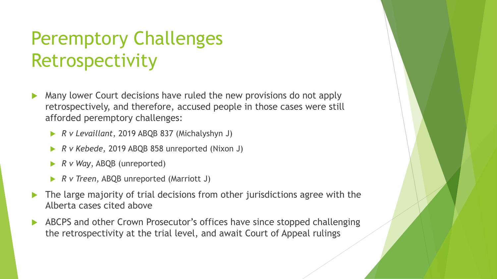# Peremptory Challenges Retrospectivity

- Many lower Court decisions have ruled the new provisions do not apply retrospectively, and therefore, accused people in those cases were still afforded peremptory challenges:
	- *R v Levaillant*, 2019 ABQB 837 (Michalyshyn J)
	- *R v Kebede,* 2019 ABQB 858 unreported (Nixon J)
	- *R v Way*, ABQB (unreported)
	- *R v Treen*, ABQB unreported (Marriott J)
- The large majority of trial decisions from other jurisdictions agree with the Alberta cases cited above
- ABCPS and other Crown Prosecutor's offices have since stopped challenging the retrospectivity at the trial level, and await Court of Appeal rulings